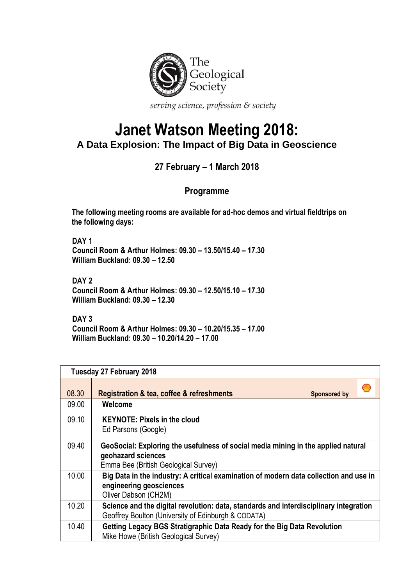

serving science, profession & society

## **Janet Watson Meeting 2018: A Data Explosion: The Impact of Big Data in Geoscience**

## **27 February – 1 March 2018**

## **Programme**

**The following meeting rooms are available for ad-hoc demos and virtual fieldtrips on the following days:**

**DAY 1 Council Room & Arthur Holmes: 09.30 – 13.50/15.40 – 17.30 William Buckland: 09.30 – 12.50**

**DAY 2 Council Room & Arthur Holmes: 09.30 – 12.50/15.10 – 17.30 William Buckland: 09.30 – 12.30**

**DAY 3 Council Room & Arthur Holmes: 09.30 – 10.20/15.35 – 17.00 William Buckland: 09.30 – 10.20/14.20 – 17.00**

|       | Tuesday 27 February 2018                                                                                                                        |  |  |
|-------|-------------------------------------------------------------------------------------------------------------------------------------------------|--|--|
| 08.30 | <b>Registration &amp; tea, coffee &amp; refreshments</b><br><b>Sponsored by</b>                                                                 |  |  |
| 09.00 | Welcome                                                                                                                                         |  |  |
| 09.10 | <b>KEYNOTE: Pixels in the cloud</b><br>Ed Parsons (Google)                                                                                      |  |  |
| 09.40 | GeoSocial: Exploring the usefulness of social media mining in the applied natural<br>geohazard sciences<br>Emma Bee (British Geological Survey) |  |  |
| 10.00 | Big Data in the industry: A critical examination of modern data collection and use in<br>engineering geosciences<br>Oliver Dabson (CH2M)        |  |  |
| 10.20 | Science and the digital revolution: data, standards and interdisciplinary integration<br>Geoffrey Boulton (University of Edinburgh & CODATA)    |  |  |
| 10.40 | Getting Legacy BGS Stratigraphic Data Ready for the Big Data Revolution<br>Mike Howe (British Geological Survey)                                |  |  |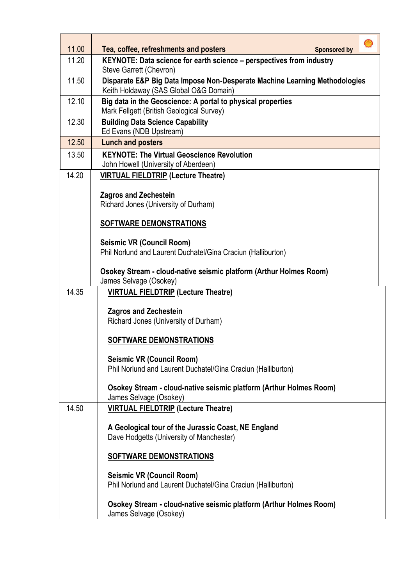| 11.00 | Tea, coffee, refreshments and posters<br><b>Sponsored by</b>                                                         |  |
|-------|----------------------------------------------------------------------------------------------------------------------|--|
| 11.20 | KEYNOTE: Data science for earth science - perspectives from industry<br>Steve Garrett (Chevron)                      |  |
| 11.50 | Disparate E&P Big Data Impose Non-Desperate Machine Learning Methodologies<br>Keith Holdaway (SAS Global O&G Domain) |  |
| 12.10 | Big data in the Geoscience: A portal to physical properties<br>Mark Fellgett (British Geological Survey)             |  |
| 12.30 | <b>Building Data Science Capability</b><br>Ed Evans (NDB Upstream)                                                   |  |
| 12.50 | <b>Lunch and posters</b>                                                                                             |  |
| 13.50 | <b>KEYNOTE: The Virtual Geoscience Revolution</b><br>John Howell (University of Aberdeen)                            |  |
| 14.20 | <b>VIRTUAL FIELDTRIP (Lecture Theatre)</b>                                                                           |  |
|       | <b>Zagros and Zechestein</b><br>Richard Jones (University of Durham)                                                 |  |
|       |                                                                                                                      |  |
|       | <b>SOFTWARE DEMONSTRATIONS</b>                                                                                       |  |
|       | <b>Seismic VR (Council Room)</b><br>Phil Norlund and Laurent Duchatel/Gina Craciun (Halliburton)                     |  |
|       | Osokey Stream - cloud-native seismic platform (Arthur Holmes Room)<br>James Selvage (Osokey)                         |  |
| 14.35 | <b>VIRTUAL FIELDTRIP (Lecture Theatre)</b>                                                                           |  |
|       | <b>Zagros and Zechestein</b><br>Richard Jones (University of Durham)                                                 |  |
|       | SOFTWARE DEMONSTRATIONS                                                                                              |  |
|       | <b>Seismic VR (Council Room)</b><br>Phil Norlund and Laurent Duchatel/Gina Craciun (Halliburton)                     |  |
|       | Osokey Stream - cloud-native seismic platform (Arthur Holmes Room)<br>James Selvage (Osokey)                         |  |
| 14.50 | <b>VIRTUAL FIELDTRIP (Lecture Theatre)</b>                                                                           |  |
|       | A Geological tour of the Jurassic Coast, NE England<br>Dave Hodgetts (University of Manchester)                      |  |
|       | <b>SOFTWARE DEMONSTRATIONS</b>                                                                                       |  |
|       | <b>Seismic VR (Council Room)</b><br>Phil Norlund and Laurent Duchatel/Gina Craciun (Halliburton)                     |  |
|       | Osokey Stream - cloud-native seismic platform (Arthur Holmes Room)<br>James Selvage (Osokey)                         |  |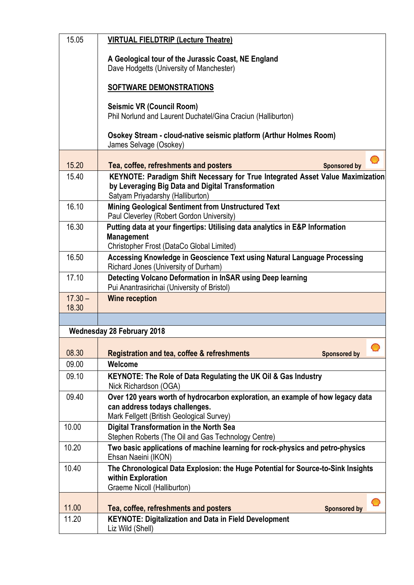| 15.05              | <b>VIRTUAL FIELDTRIP (Lecture Theatre)</b>                                                                                                                    |
|--------------------|---------------------------------------------------------------------------------------------------------------------------------------------------------------|
|                    | A Geological tour of the Jurassic Coast, NE England<br>Dave Hodgetts (University of Manchester)                                                               |
|                    | <b>SOFTWARE DEMONSTRATIONS</b>                                                                                                                                |
|                    | <b>Seismic VR (Council Room)</b><br>Phil Norlund and Laurent Duchatel/Gina Craciun (Halliburton)                                                              |
|                    | Osokey Stream - cloud-native seismic platform (Arthur Holmes Room)<br>James Selvage (Osokey)                                                                  |
| 15.20              | WĄ                                                                                                                                                            |
| 15.40              | Tea, coffee, refreshments and posters<br><b>Sponsored by</b><br>KEYNOTE: Paradigm Shift Necessary for True Integrated Asset Value Maximization                |
|                    | by Leveraging Big Data and Digital Transformation<br>Satyam Priyadarshy (Halliburton)                                                                         |
| 16.10              | <b>Mining Geological Sentiment from Unstructured Text</b><br>Paul Cleverley (Robert Gordon University)                                                        |
| 16.30              | Putting data at your fingertips: Utilising data analytics in E&P Information<br><b>Management</b><br>Christopher Frost (DataCo Global Limited)                |
| 16.50              | Accessing Knowledge in Geoscience Text using Natural Language Processing                                                                                      |
|                    | Richard Jones (University of Durham)                                                                                                                          |
| 17.10              | Detecting Volcano Deformation in InSAR using Deep learning<br>Pui Anantrasirichai (University of Bristol)                                                     |
| $17.30 -$<br>18.30 | <b>Wine reception</b>                                                                                                                                         |
|                    |                                                                                                                                                               |
|                    | <b>Wednesday 28 February 2018</b>                                                                                                                             |
|                    | Ø                                                                                                                                                             |
| 08.30<br>09.00     | <b>Registration and tea, coffee &amp; refreshments</b><br><b>Sponsored by</b><br>Welcome                                                                      |
| 09.10              | KEYNOTE: The Role of Data Regulating the UK Oil & Gas Industry<br>Nick Richardson (OGA)                                                                       |
| 09.40              | Over 120 years worth of hydrocarbon exploration, an example of how legacy data<br>can address todays challenges.<br>Mark Fellgett (British Geological Survey) |
| 10.00              | <b>Digital Transformation in the North Sea</b>                                                                                                                |
|                    | Stephen Roberts (The Oil and Gas Technology Centre)                                                                                                           |
| 10.20              | Two basic applications of machine learning for rock-physics and petro-physics<br>Ehsan Naeini (IKON)                                                          |
| 10.40              | The Chronological Data Explosion: the Huge Potential for Source-to-Sink Insights<br>within Exploration<br>Graeme Nicoll (Halliburton)                         |
|                    |                                                                                                                                                               |
| 11.00              | Tea, coffee, refreshments and posters<br><b>Sponsored by</b>                                                                                                  |
| 11.20              | <b>KEYNOTE: Digitalization and Data in Field Development</b><br>Liz Wild (Shell)                                                                              |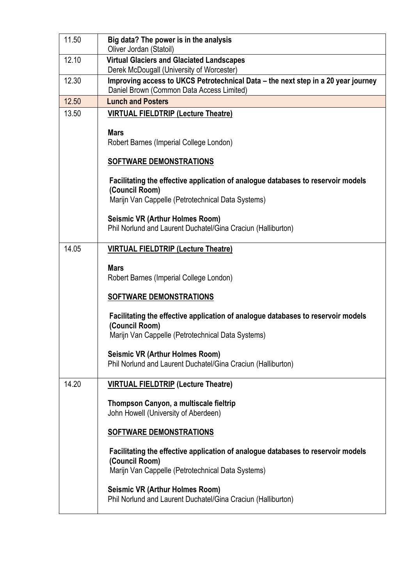| 11.50 | Big data? The power is in the analysis<br>Oliver Jordan (Statoil)                                                                                       |
|-------|---------------------------------------------------------------------------------------------------------------------------------------------------------|
| 12.10 | <b>Virtual Glaciers and Glaciated Landscapes</b><br>Derek McDougall (University of Worcester)                                                           |
| 12.30 | Improving access to UKCS Petrotechnical Data – the next step in a 20 year journey<br>Daniel Brown (Common Data Access Limited)                          |
| 12.50 | <b>Lunch and Posters</b>                                                                                                                                |
| 13.50 | <b>VIRTUAL FIELDTRIP (Lecture Theatre)</b>                                                                                                              |
|       | <b>Mars</b><br>Robert Barnes (Imperial College London)                                                                                                  |
|       | <b>SOFTWARE DEMONSTRATIONS</b>                                                                                                                          |
|       | Facilitating the effective application of analogue databases to reservoir models<br>(Council Room)                                                      |
|       | Marijn Van Cappelle (Petrotechnical Data Systems)                                                                                                       |
|       | <b>Seismic VR (Arthur Holmes Room)</b><br>Phil Norlund and Laurent Duchatel/Gina Craciun (Halliburton)                                                  |
| 14.05 | <b>VIRTUAL FIELDTRIP (Lecture Theatre)</b>                                                                                                              |
|       | <b>Mars</b><br>Robert Barnes (Imperial College London)                                                                                                  |
|       | <b>SOFTWARE DEMONSTRATIONS</b>                                                                                                                          |
|       | Facilitating the effective application of analogue databases to reservoir models<br>(Council Room)<br>Marijn Van Cappelle (Petrotechnical Data Systems) |
|       | <b>Seismic VR (Arthur Holmes Room)</b><br>Phil Norlund and Laurent Duchatel/Gina Craciun (Halliburton)                                                  |
| 14.20 | <b>VIRTUAL FIELDTRIP (Lecture Theatre)</b>                                                                                                              |
|       | Thompson Canyon, a multiscale fieltrip<br>John Howell (University of Aberdeen)                                                                          |
|       | <b>SOFTWARE DEMONSTRATIONS</b>                                                                                                                          |
|       | Facilitating the effective application of analogue databases to reservoir models<br>(Council Room)<br>Marijn Van Cappelle (Petrotechnical Data Systems) |
|       | <b>Seismic VR (Arthur Holmes Room)</b><br>Phil Norlund and Laurent Duchatel/Gina Craciun (Halliburton)                                                  |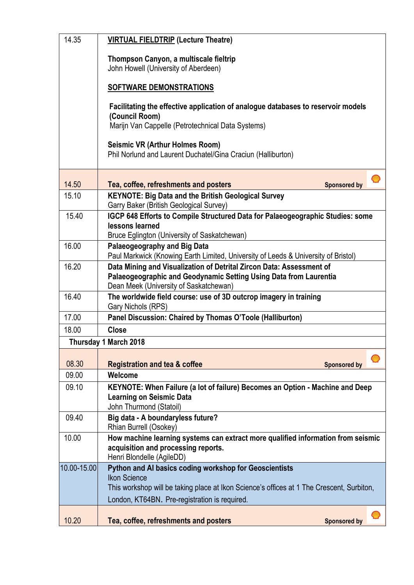| 14.35       | <b>VIRTUAL FIELDTRIP (Lecture Theatre)</b>                                                                                                                                          |
|-------------|-------------------------------------------------------------------------------------------------------------------------------------------------------------------------------------|
|             | Thompson Canyon, a multiscale fieltrip<br>John Howell (University of Aberdeen)                                                                                                      |
|             | <b>SOFTWARE DEMONSTRATIONS</b>                                                                                                                                                      |
|             | Facilitating the effective application of analogue databases to reservoir models<br>(Council Room)                                                                                  |
|             | Marijn Van Cappelle (Petrotechnical Data Systems)                                                                                                                                   |
|             | <b>Seismic VR (Arthur Holmes Room)</b><br>Phil Norlund and Laurent Duchatel/Gina Craciun (Halliburton)                                                                              |
| 14.50       | Tea, coffee, refreshments and posters<br><b>Sponsored by</b>                                                                                                                        |
| 15.10       | <b>KEYNOTE: Big Data and the British Geological Survey</b><br>Garry Baker (British Geological Survey)                                                                               |
| 15.40       | IGCP 648 Efforts to Compile Structured Data for Palaeogeographic Studies: some<br>lessons learned<br>Bruce Eglington (University of Saskatchewan)                                   |
| 16.00       | <b>Palaeogeography and Big Data</b><br>Paul Markwick (Knowing Earth Limited, University of Leeds & University of Bristol)                                                           |
| 16.20       | Data Mining and Visualization of Detrital Zircon Data: Assessment of<br>Palaeogeographic and Geodynamic Setting Using Data from Laurentia<br>Dean Meek (University of Saskatchewan) |
| 16.40       | The worldwide field course: use of 3D outcrop imagery in training<br>Gary Nichols (RPS)                                                                                             |
| 17.00       | Panel Discussion: Chaired by Thomas O'Toole (Halliburton)                                                                                                                           |
| 18.00       | <b>Close</b>                                                                                                                                                                        |
|             | Thursday 1 March 2018                                                                                                                                                               |
| 08.30       | <b>Registration and tea &amp; coffee</b><br><b>Sponsored by</b>                                                                                                                     |
| 09.00       | Welcome                                                                                                                                                                             |
| 09.10       | KEYNOTE: When Failure (a lot of failure) Becomes an Option - Machine and Deep<br><b>Learning on Seismic Data</b><br>John Thurmond (Statoil)                                         |
| 09.40       | Big data - A boundaryless future?<br>Rhian Burrell (Osokey)                                                                                                                         |
| 10.00       | How machine learning systems can extract more qualified information from seismic<br>acquisition and processing reports.<br>Henri Blondelle (AgileDD)                                |
| 10.00-15.00 | Python and AI basics coding workshop for Geoscientists<br><b>Ikon Science</b>                                                                                                       |
|             | This workshop will be taking place at Ikon Science's offices at 1 The Crescent, Surbiton,<br>London, KT64BN. Pre-registration is required.                                          |
| 10.20       | Tea, coffee, refreshments and posters<br><b>Sponsored by</b>                                                                                                                        |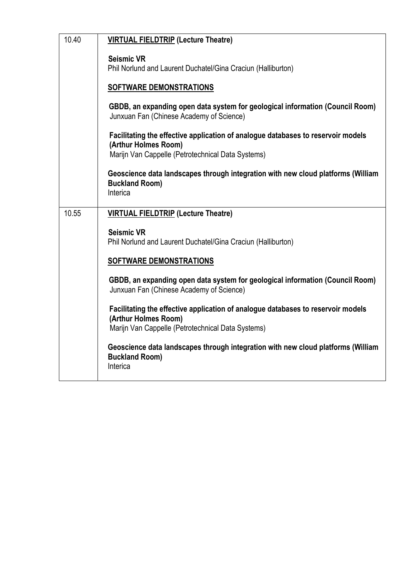| 10.40 | <b>VIRTUAL FIELDTRIP (Lecture Theatre)</b>                                                                                                                    |
|-------|---------------------------------------------------------------------------------------------------------------------------------------------------------------|
|       | <b>Seismic VR</b><br>Phil Norlund and Laurent Duchatel/Gina Craciun (Halliburton)                                                                             |
|       | <b>SOFTWARE DEMONSTRATIONS</b>                                                                                                                                |
|       | GBDB, an expanding open data system for geological information (Council Room)<br>Junxuan Fan (Chinese Academy of Science)                                     |
|       | Facilitating the effective application of analogue databases to reservoir models<br>(Arthur Holmes Room)<br>Marijn Van Cappelle (Petrotechnical Data Systems) |
|       |                                                                                                                                                               |
|       | Geoscience data landscapes through integration with new cloud platforms (William<br><b>Buckland Room)</b><br>Interica                                         |
| 10.55 |                                                                                                                                                               |
|       | <b>VIRTUAL FIELDTRIP (Lecture Theatre)</b>                                                                                                                    |
|       | <b>Seismic VR</b>                                                                                                                                             |
|       | Phil Norlund and Laurent Duchatel/Gina Craciun (Halliburton)                                                                                                  |
|       | <b>SOFTWARE DEMONSTRATIONS</b>                                                                                                                                |
|       | GBDB, an expanding open data system for geological information (Council Room)<br>Junxuan Fan (Chinese Academy of Science)                                     |
|       | Facilitating the effective application of analogue databases to reservoir models<br>(Arthur Holmes Room)                                                      |
|       | Marijn Van Cappelle (Petrotechnical Data Systems)                                                                                                             |
|       | Geoscience data landscapes through integration with new cloud platforms (William<br><b>Buckland Room)</b><br>Interica                                         |
|       |                                                                                                                                                               |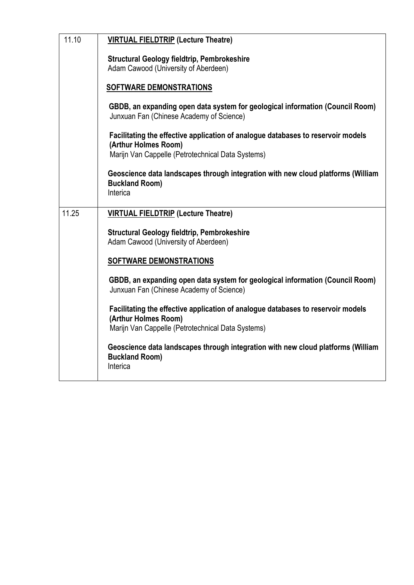| <b>Structural Geology fieldtrip, Pembrokeshire</b><br>Adam Cawood (University of Aberdeen)<br><b>SOFTWARE DEMONSTRATIONS</b><br>GBDB, an expanding open data system for geological information (Council Room)<br>Junxuan Fan (Chinese Academy of Science)<br>Facilitating the effective application of analogue databases to reservoir models<br>(Arthur Holmes Room)<br>Marijn Van Cappelle (Petrotechnical Data Systems)<br>Geoscience data landscapes through integration with new cloud platforms (William<br><b>Buckland Room)</b><br>Interica<br>11.25<br><b>VIRTUAL FIELDTRIP (Lecture Theatre)</b><br><b>Structural Geology fieldtrip, Pembrokeshire</b><br>Adam Cawood (University of Aberdeen)<br><b>SOFTWARE DEMONSTRATIONS</b><br>GBDB, an expanding open data system for geological information (Council Room)<br>Junxuan Fan (Chinese Academy of Science)<br>Facilitating the effective application of analogue databases to reservoir models<br>(Arthur Holmes Room)<br>Marijn Van Cappelle (Petrotechnical Data Systems)<br>Geoscience data landscapes through integration with new cloud platforms (William | 11.10 | <b>VIRTUAL FIELDTRIP (Lecture Theatre)</b> |
|------------------------------------------------------------------------------------------------------------------------------------------------------------------------------------------------------------------------------------------------------------------------------------------------------------------------------------------------------------------------------------------------------------------------------------------------------------------------------------------------------------------------------------------------------------------------------------------------------------------------------------------------------------------------------------------------------------------------------------------------------------------------------------------------------------------------------------------------------------------------------------------------------------------------------------------------------------------------------------------------------------------------------------------------------------------------------------------------------------------------------|-------|--------------------------------------------|
|                                                                                                                                                                                                                                                                                                                                                                                                                                                                                                                                                                                                                                                                                                                                                                                                                                                                                                                                                                                                                                                                                                                              |       |                                            |
|                                                                                                                                                                                                                                                                                                                                                                                                                                                                                                                                                                                                                                                                                                                                                                                                                                                                                                                                                                                                                                                                                                                              |       |                                            |
|                                                                                                                                                                                                                                                                                                                                                                                                                                                                                                                                                                                                                                                                                                                                                                                                                                                                                                                                                                                                                                                                                                                              |       |                                            |
|                                                                                                                                                                                                                                                                                                                                                                                                                                                                                                                                                                                                                                                                                                                                                                                                                                                                                                                                                                                                                                                                                                                              |       |                                            |
|                                                                                                                                                                                                                                                                                                                                                                                                                                                                                                                                                                                                                                                                                                                                                                                                                                                                                                                                                                                                                                                                                                                              |       |                                            |
|                                                                                                                                                                                                                                                                                                                                                                                                                                                                                                                                                                                                                                                                                                                                                                                                                                                                                                                                                                                                                                                                                                                              |       |                                            |
|                                                                                                                                                                                                                                                                                                                                                                                                                                                                                                                                                                                                                                                                                                                                                                                                                                                                                                                                                                                                                                                                                                                              |       |                                            |
|                                                                                                                                                                                                                                                                                                                                                                                                                                                                                                                                                                                                                                                                                                                                                                                                                                                                                                                                                                                                                                                                                                                              |       |                                            |
|                                                                                                                                                                                                                                                                                                                                                                                                                                                                                                                                                                                                                                                                                                                                                                                                                                                                                                                                                                                                                                                                                                                              |       |                                            |
|                                                                                                                                                                                                                                                                                                                                                                                                                                                                                                                                                                                                                                                                                                                                                                                                                                                                                                                                                                                                                                                                                                                              |       |                                            |
|                                                                                                                                                                                                                                                                                                                                                                                                                                                                                                                                                                                                                                                                                                                                                                                                                                                                                                                                                                                                                                                                                                                              |       |                                            |
|                                                                                                                                                                                                                                                                                                                                                                                                                                                                                                                                                                                                                                                                                                                                                                                                                                                                                                                                                                                                                                                                                                                              |       |                                            |
|                                                                                                                                                                                                                                                                                                                                                                                                                                                                                                                                                                                                                                                                                                                                                                                                                                                                                                                                                                                                                                                                                                                              |       |                                            |
|                                                                                                                                                                                                                                                                                                                                                                                                                                                                                                                                                                                                                                                                                                                                                                                                                                                                                                                                                                                                                                                                                                                              |       |                                            |
|                                                                                                                                                                                                                                                                                                                                                                                                                                                                                                                                                                                                                                                                                                                                                                                                                                                                                                                                                                                                                                                                                                                              |       |                                            |
|                                                                                                                                                                                                                                                                                                                                                                                                                                                                                                                                                                                                                                                                                                                                                                                                                                                                                                                                                                                                                                                                                                                              |       |                                            |
|                                                                                                                                                                                                                                                                                                                                                                                                                                                                                                                                                                                                                                                                                                                                                                                                                                                                                                                                                                                                                                                                                                                              |       |                                            |
|                                                                                                                                                                                                                                                                                                                                                                                                                                                                                                                                                                                                                                                                                                                                                                                                                                                                                                                                                                                                                                                                                                                              |       |                                            |
| Interica                                                                                                                                                                                                                                                                                                                                                                                                                                                                                                                                                                                                                                                                                                                                                                                                                                                                                                                                                                                                                                                                                                                     |       | <b>Buckland Room)</b>                      |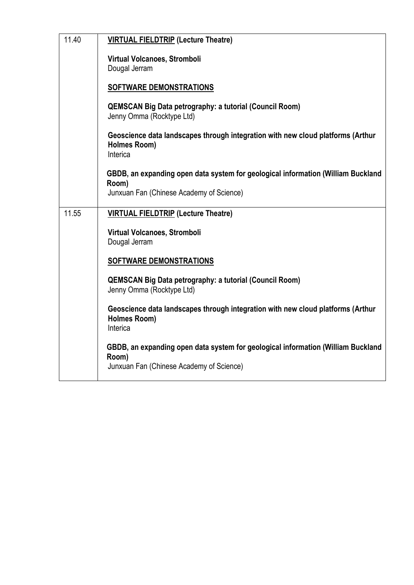| 11.40 | <b>VIRTUAL FIELDTRIP (Lecture Theatre)</b>                                                                                            |
|-------|---------------------------------------------------------------------------------------------------------------------------------------|
|       | Virtual Volcanoes, Stromboli<br>Dougal Jerram                                                                                         |
|       |                                                                                                                                       |
|       | <b>SOFTWARE DEMONSTRATIONS</b>                                                                                                        |
|       | <b>QEMSCAN Big Data petrography: a tutorial (Council Room)</b><br>Jenny Omma (Rocktype Ltd)                                           |
|       | Geoscience data landscapes through integration with new cloud platforms (Arthur<br>Holmes Room)<br>Interica                           |
|       | GBDB, an expanding open data system for geological information (William Buckland<br>Room)                                             |
|       | Junxuan Fan (Chinese Academy of Science)                                                                                              |
| 11.55 | <b>VIRTUAL FIELDTRIP (Lecture Theatre)</b>                                                                                            |
|       | Virtual Volcanoes, Stromboli<br>Dougal Jerram                                                                                         |
|       | SOFTWARE DEMONSTRATIONS                                                                                                               |
|       | <b>QEMSCAN Big Data petrography: a tutorial (Council Room)</b><br>Jenny Omma (Rocktype Ltd)                                           |
|       | Geoscience data landscapes through integration with new cloud platforms (Arthur<br><b>Holmes Room)</b><br>Interica                    |
|       | GBDB, an expanding open data system for geological information (William Buckland<br>Room)<br>Junxuan Fan (Chinese Academy of Science) |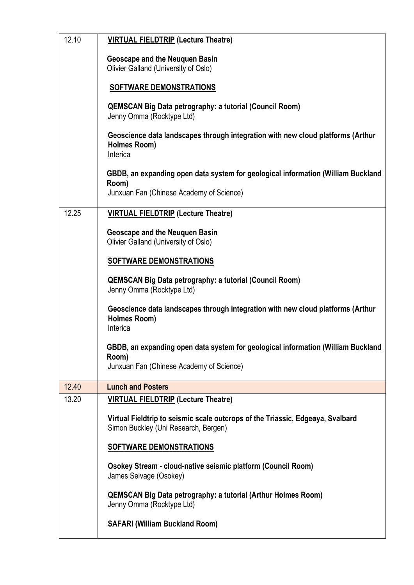| 12.10 | <b>VIRTUAL FIELDTRIP (Lecture Theatre)</b>                                                                                            |
|-------|---------------------------------------------------------------------------------------------------------------------------------------|
|       | <b>Geoscape and the Neuquen Basin</b><br>Olivier Galland (University of Oslo)                                                         |
|       | <b>SOFTWARE DEMONSTRATIONS</b>                                                                                                        |
|       | <b>QEMSCAN Big Data petrography: a tutorial (Council Room)</b><br>Jenny Omma (Rocktype Ltd)                                           |
|       | Geoscience data landscapes through integration with new cloud platforms (Arthur<br>Holmes Room)<br>Interica                           |
|       | GBDB, an expanding open data system for geological information (William Buckland<br>Room)<br>Junxuan Fan (Chinese Academy of Science) |
| 12.25 | <b>VIRTUAL FIELDTRIP (Lecture Theatre)</b>                                                                                            |
|       | <b>Geoscape and the Neuquen Basin</b><br>Olivier Galland (University of Oslo)                                                         |
|       | SOFTWARE DEMONSTRATIONS                                                                                                               |
|       | <b>QEMSCAN Big Data petrography: a tutorial (Council Room)</b><br>Jenny Omma (Rocktype Ltd)                                           |
|       | Geoscience data landscapes through integration with new cloud platforms (Arthur<br>Holmes Room)<br>Interica                           |
|       | GBDB, an expanding open data system for geological information (William Buckland                                                      |
|       | Room)<br>Junxuan Fan (Chinese Academy of Science)                                                                                     |
| 12.40 | <b>Lunch and Posters</b>                                                                                                              |
| 13.20 | <b>VIRTUAL FIELDTRIP (Lecture Theatre)</b>                                                                                            |
|       | Virtual Fieldtrip to seismic scale outcrops of the Triassic, Edgeøya, Svalbard<br>Simon Buckley (Uni Research, Bergen)                |
|       | <b>SOFTWARE DEMONSTRATIONS</b>                                                                                                        |
|       | Osokey Stream - cloud-native seismic platform (Council Room)<br>James Selvage (Osokey)                                                |
|       | <b>QEMSCAN Big Data petrography: a tutorial (Arthur Holmes Room)</b><br>Jenny Omma (Rocktype Ltd)                                     |
|       | <b>SAFARI (William Buckland Room)</b>                                                                                                 |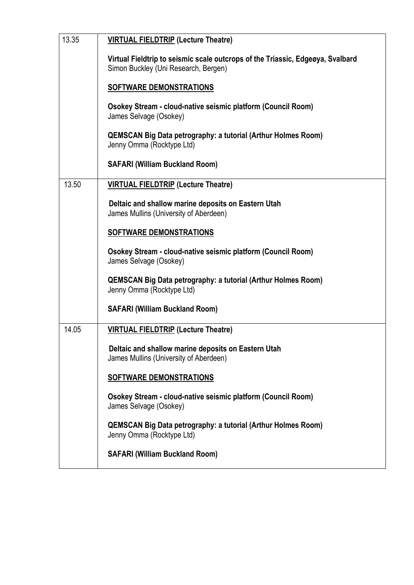| 13.35 | <b>VIRTUAL FIELDTRIP (Lecture Theatre)</b>                                                                             |
|-------|------------------------------------------------------------------------------------------------------------------------|
|       | Virtual Fieldtrip to seismic scale outcrops of the Triassic, Edgeøya, Svalbard<br>Simon Buckley (Uni Research, Bergen) |
|       | SOFTWARE DEMONSTRATIONS                                                                                                |
|       | Osokey Stream - cloud-native seismic platform (Council Room)<br>James Selvage (Osokey)                                 |
|       | <b>QEMSCAN Big Data petrography: a tutorial (Arthur Holmes Room)</b><br>Jenny Omma (Rocktype Ltd)                      |
|       | <b>SAFARI (William Buckland Room)</b>                                                                                  |
| 13.50 | <b>VIRTUAL FIELDTRIP (Lecture Theatre)</b>                                                                             |
|       | Deltaic and shallow marine deposits on Eastern Utah<br>James Mullins (University of Aberdeen)                          |
|       | <b>SOFTWARE DEMONSTRATIONS</b>                                                                                         |
|       | Osokey Stream - cloud-native seismic platform (Council Room)<br>James Selvage (Osokey)                                 |
|       | <b>QEMSCAN Big Data petrography: a tutorial (Arthur Holmes Room)</b><br>Jenny Omma (Rocktype Ltd)                      |
|       | <b>SAFARI (William Buckland Room)</b>                                                                                  |
| 14.05 | <b>VIRTUAL FIELDTRIP (Lecture Theatre)</b>                                                                             |
|       | Deltaic and shallow marine deposits on Eastern Utah<br>James Mullins (University of Aberdeen)                          |
|       | <b>SOFTWARE DEMONSTRATIONS</b>                                                                                         |
|       | Osokey Stream - cloud-native seismic platform (Council Room)<br>James Selvage (Osokey)                                 |
|       | <b>QEMSCAN Big Data petrography: a tutorial (Arthur Holmes Room)</b><br>Jenny Omma (Rocktype Ltd)                      |
|       | <b>SAFARI (William Buckland Room)</b>                                                                                  |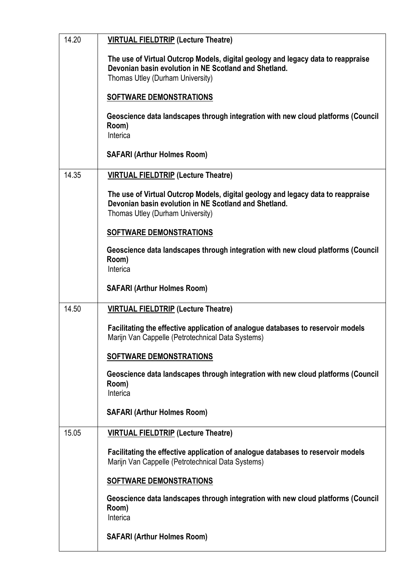| 14.20 | <b>VIRTUAL FIELDTRIP (Lecture Theatre)</b>                                                                                                                                    |
|-------|-------------------------------------------------------------------------------------------------------------------------------------------------------------------------------|
|       | The use of Virtual Outcrop Models, digital geology and legacy data to reappraise<br>Devonian basin evolution in NE Scotland and Shetland.<br>Thomas Utley (Durham University) |
|       | <b>SOFTWARE DEMONSTRATIONS</b>                                                                                                                                                |
|       | Geoscience data landscapes through integration with new cloud platforms (Council<br>Room)<br>Interica                                                                         |
|       | <b>SAFARI (Arthur Holmes Room)</b>                                                                                                                                            |
| 14.35 | <b>VIRTUAL FIELDTRIP (Lecture Theatre)</b>                                                                                                                                    |
|       | The use of Virtual Outcrop Models, digital geology and legacy data to reappraise<br>Devonian basin evolution in NE Scotland and Shetland.<br>Thomas Utley (Durham University) |
|       | SOFTWARE DEMONSTRATIONS                                                                                                                                                       |
|       | Geoscience data landscapes through integration with new cloud platforms (Council<br>Room)<br>Interica                                                                         |
|       | <b>SAFARI (Arthur Holmes Room)</b>                                                                                                                                            |
| 14.50 | <b>VIRTUAL FIELDTRIP (Lecture Theatre)</b>                                                                                                                                    |
|       | Facilitating the effective application of analogue databases to reservoir models<br>Marijn Van Cappelle (Petrotechnical Data Systems)                                         |
|       | SOFTWARE DEMONSTRATIONS                                                                                                                                                       |
|       | Geoscience data landscapes through integration with new cloud platforms (Council<br>Room)<br>Interica                                                                         |
|       | <b>SAFARI (Arthur Holmes Room)</b>                                                                                                                                            |
| 15.05 | <b>VIRTUAL FIELDTRIP (Lecture Theatre)</b>                                                                                                                                    |
|       | Facilitating the effective application of analogue databases to reservoir models<br>Marijn Van Cappelle (Petrotechnical Data Systems)                                         |
|       | <b>SOFTWARE DEMONSTRATIONS</b>                                                                                                                                                |
|       | Geoscience data landscapes through integration with new cloud platforms (Council<br>Room)<br>Interica                                                                         |
|       | <b>SAFARI (Arthur Holmes Room)</b>                                                                                                                                            |